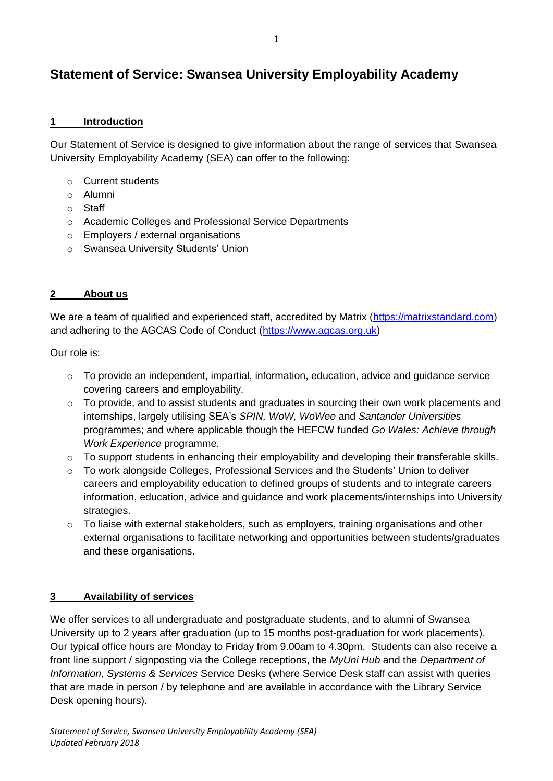# **Statement of Service: Swansea University Employability Academy**

## **1 Introduction**

Our Statement of Service is designed to give information about the range of services that Swansea University Employability Academy (SEA) can offer to the following:

- o Current students
- o Alumni
- o Staff
- o Academic Colleges and Professional Service Departments
- o Employers / external organisations
- o Swansea University Students' Union

## **2 About us**

We are a team of qualified and experienced staff, accredited by Matrix [\(https://matrixstandard.com\)](https://matrixstandard.com/) and adhering to the AGCAS Code of Conduct [\(https://www.agcas.org.uk\)](https://www.agcas.org.uk/)

Our role is:

- o To provide an independent, impartial, information, education, advice and guidance service covering careers and employability.
- $\circ$  To provide, and to assist students and graduates in sourcing their own work placements and internships, largely utilising SEA's *SPIN, WoW, WoWee* and *Santander Universities* programmes; and where applicable though the HEFCW funded *Go Wales: Achieve through Work Experience* programme.
- o To support students in enhancing their employability and developing their transferable skills.
- o To work alongside Colleges, Professional Services and the Students' Union to deliver careers and employability education to defined groups of students and to integrate careers information, education, advice and guidance and work placements/internships into University strategies.
- $\circ$  To liaise with external stakeholders, such as employers, training organisations and other external organisations to facilitate networking and opportunities between students/graduates and these organisations.

## **3 Availability of services**

We offer services to all undergraduate and postgraduate students, and to alumni of Swansea University up to 2 years after graduation (up to 15 months post-graduation for work placements). Our typical office hours are Monday to Friday from 9.00am to 4.30pm. Students can also receive a front line support / signposting via the College receptions, the *MyUni Hub* and the *Department of Information, Systems & Services* Service Desks (where Service Desk staff can assist with queries that are made in person / by telephone and are available in accordance with the Library Service Desk opening hours).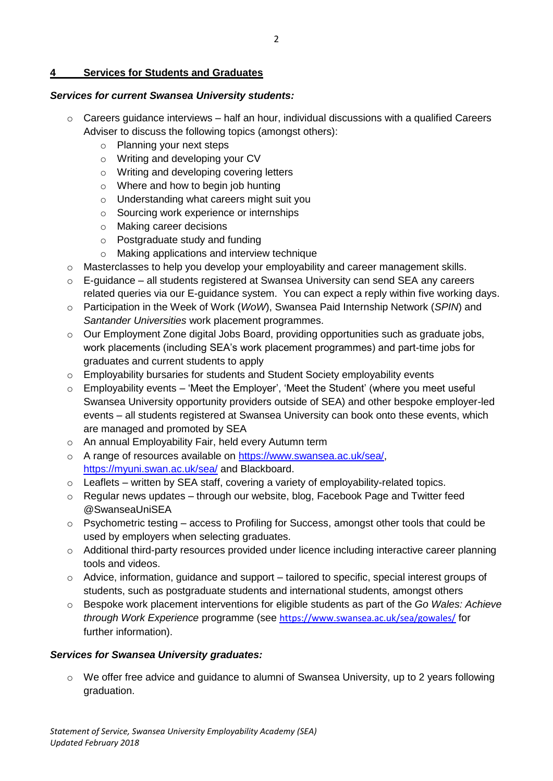#### **4 Services for Students and Graduates**

# *Services for current Swansea University students:*

- $\circ$  Careers guidance interviews half an hour, individual discussions with a qualified Careers Adviser to discuss the following topics (amongst others):
	- o Planning your next steps
	- o Writing and developing your CV
	- o Writing and developing covering letters
	- o Where and how to begin job hunting
	- o Understanding what careers might suit you
	- o Sourcing work experience or internships
	- o Making career decisions
	- o Postgraduate study and funding
	- o Making applications and interview technique
- o Masterclasses to help you develop your employability and career management skills.
- o E-guidance all students registered at Swansea University can send SEA any careers related queries via our E-quidance system. You can expect a reply within five working days.
- o Participation in the Week of Work (*WoW*), Swansea Paid Internship Network (*SPIN*) and *Santander Universities* work placement programmes.
- $\circ$  Our Employment Zone digital Jobs Board, providing opportunities such as graduate jobs, work placements (including SEA's work placement programmes) and part-time jobs for graduates and current students to apply
- o Employability bursaries for students and Student Society employability events
- $\circ$  Employability events 'Meet the Employer', 'Meet the Student' (where you meet useful Swansea University opportunity providers outside of SEA) and other bespoke employer-led events – all students registered at Swansea University can book onto these events, which are managed and promoted by SEA
- o An annual Employability Fair, held every Autumn term
- o A range of resources available on [https://www.swansea.ac.uk/sea/,](https://www.swansea.ac.uk/sea/) <https://myuni.swan.ac.uk/sea/> and Blackboard.
- o Leaflets written by SEA staff, covering a variety of employability-related topics.
- o Regular news updates through our website, blog, Facebook Page and Twitter feed @SwanseaUniSEA
- $\circ$  Psychometric testing access to Profiling for Success, amongst other tools that could be used by employers when selecting graduates.
- o Additional third-party resources provided under licence including interactive career planning tools and videos.
- $\circ$  Advice, information, quidance and support tailored to specific, special interest groups of students, such as postgraduate students and international students, amongst others
- o Bespoke work placement interventions for eligible students as part of the *Go Wales: Achieve through Work Experience* programme (see <https://www.swansea.ac.uk/sea/gowales/> for further information).

# *Services for Swansea University graduates:*

 $\circ$  We offer free advice and quidance to alumni of Swansea University, up to 2 years following graduation.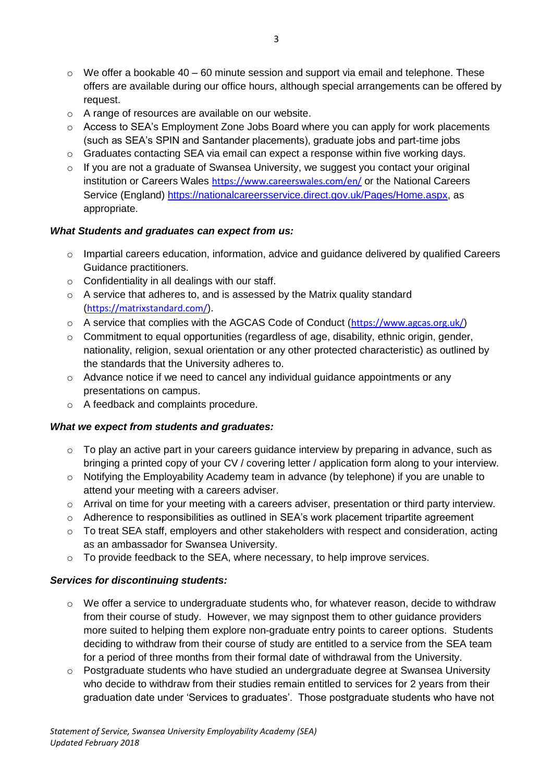- $\circ$  We offer a bookable 40 60 minute session and support via email and telephone. These offers are available during our office hours, although special arrangements can be offered by request.
- o A range of resources are available on our website.
- o Access to SEA's Employment Zone Jobs Board where you can apply for work placements (such as SEA's SPIN and Santander placements), graduate jobs and part-time jobs
- $\circ$  Graduates contacting SEA via email can expect a response within five working days.
- o If you are not a graduate of Swansea University, we suggest you contact your original institution or Careers Wales <https://www.careerswales.com/en/> or the National Careers Service (England) [https://nationalcareersservice.direct.gov.uk/Pages/Home.aspx,](https://nationalcareersservice.direct.gov.uk/Pages/Home.aspx) as appropriate.

## *What Students and graduates can expect from us:*

- o Impartial careers education, information, advice and guidance delivered by qualified Careers Guidance practitioners.
- $\circ$  Confidentiality in all dealings with our staff.
- o A service that adheres to, and is assessed by the Matrix quality standard (<https://matrixstandard.com/>).
- $\circ$  A service that complies with the AGCAS Code of Conduct (<https://www.agcas.org.uk/>)
- o Commitment to equal opportunities (regardless of age, disability, ethnic origin, gender, nationality, religion, sexual orientation or any other protected characteristic) as outlined by the standards that the University adheres to.
- $\circ$  Advance notice if we need to cancel any individual guidance appointments or any presentations on campus.
- o A feedback and complaints procedure.

## *What we expect from students and graduates:*

- $\circ$  To play an active part in your careers guidance interview by preparing in advance, such as bringing a printed copy of your CV / covering letter / application form along to your interview.
- o Notifying the Employability Academy team in advance (by telephone) if you are unable to attend your meeting with a careers adviser.
- o Arrival on time for your meeting with a careers adviser, presentation or third party interview.
- $\circ$  Adherence to responsibilities as outlined in SEA's work placement tripartite agreement
- $\circ$  To treat SEA staff, employers and other stakeholders with respect and consideration, acting as an ambassador for Swansea University.
- o To provide feedback to the SEA, where necessary, to help improve services.

## *Services for discontinuing students:*

- o We offer a service to undergraduate students who, for whatever reason, decide to withdraw from their course of study. However, we may signpost them to other guidance providers more suited to helping them explore non-graduate entry points to career options. Students deciding to withdraw from their course of study are entitled to a service from the SEA team for a period of three months from their formal date of withdrawal from the University.
- o Postgraduate students who have studied an undergraduate degree at Swansea University who decide to withdraw from their studies remain entitled to services for 2 years from their graduation date under 'Services to graduates'. Those postgraduate students who have not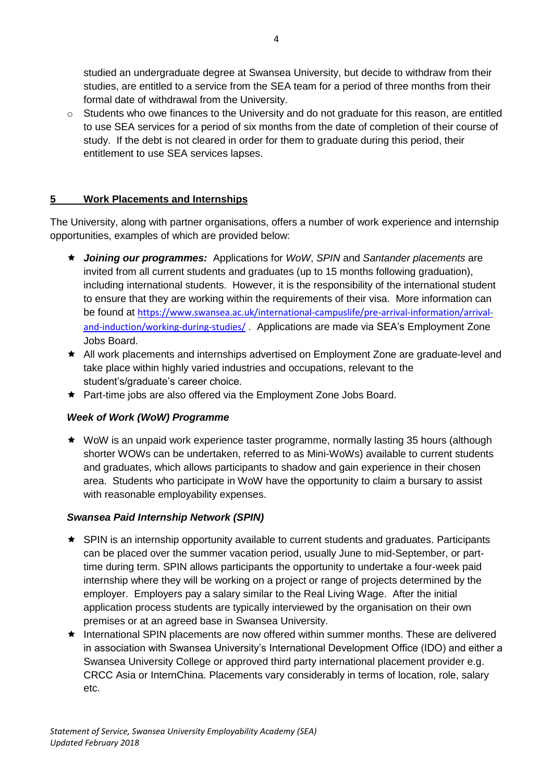studied an undergraduate degree at Swansea University, but decide to withdraw from their studies, are entitled to a service from the SEA team for a period of three months from their formal date of withdrawal from the University.

o Students who owe finances to the University and do not graduate for this reason, are entitled to use SEA services for a period of six months from the date of completion of their course of study. If the debt is not cleared in order for them to graduate during this period, their entitlement to use SEA services lapses.

## **5 Work Placements and Internships**

The University, along with partner organisations, offers a number of work experience and internship opportunities, examples of which are provided below:

- *Joining our programmes:* Applications for *WoW*, *SPIN* and *Santander placements* are invited from all current students and graduates (up to 15 months following graduation), including international students. However, it is the responsibility of the international student to ensure that they are working within the requirements of their visa. More information can be found at [https://www.swansea.ac.uk/international-campuslife/pre-arrival-information/arrival](https://www.swansea.ac.uk/international-campuslife/pre-arrival-information/arrival-and-induction/working-during-studies/)[and-induction/working-during-studies/](https://www.swansea.ac.uk/international-campuslife/pre-arrival-information/arrival-and-induction/working-during-studies/) . Applications are made via SEA's Employment Zone Jobs Board.
- All work placements and internships advertised on Employment Zone are graduate-level and take place within highly varied industries and occupations, relevant to the student's/graduate's career choice.
- ★ Part-time jobs are also offered via the Employment Zone Jobs Board.

## *Week of Work (WoW) Programme*

 WoW is an unpaid work experience taster programme, normally lasting 35 hours (although shorter WOWs can be undertaken, referred to as Mini-WoWs) available to current students and graduates, which allows participants to shadow and gain experience in their chosen area. Students who participate in WoW have the opportunity to claim a bursary to assist with reasonable employability expenses.

## *Swansea Paid Internship Network (SPIN)*

- SPIN is an internship opportunity available to current students and graduates. Participants can be placed over the summer vacation period, usually June to mid-September, or parttime during term. SPIN allows participants the opportunity to undertake a four-week paid internship where they will be working on a project or range of projects determined by the employer. Employers pay a salary similar to the Real Living Wage. After the initial application process students are typically interviewed by the organisation on their own premises or at an agreed base in Swansea University.
- International SPIN placements are now offered within summer months. These are delivered in association with Swansea University's International Development Office (IDO) and either a Swansea University College or approved third party international placement provider e.g. CRCC Asia or InternChina. Placements vary considerably in terms of location, role, salary etc.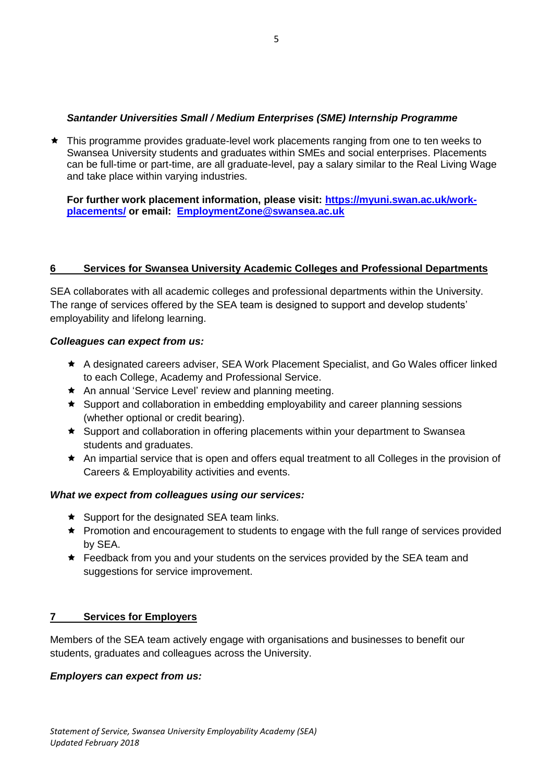## *Santander Universities Small / Medium Enterprises (SME) Internship Programme*

 This programme provides graduate-level work placements ranging from one to ten weeks to Swansea University students and graduates within SMEs and social enterprises. Placements can be full-time or part-time, are all graduate-level, pay a salary similar to the Real Living Wage and take place within varying industries.

**For further work placement information, please visit: [https://myuni.swan.ac.uk/work](https://myuni.swan.ac.uk/work-placements/)[placements/](https://myuni.swan.ac.uk/work-placements/) or email: [EmploymentZone@swansea.ac.uk](mailto:EmploymentZone@swansea.ac.uk)**

## **6 Services for Swansea University Academic Colleges and Professional Departments**

SEA collaborates with all academic colleges and professional departments within the University. The range of services offered by the SEA team is designed to support and develop students' employability and lifelong learning.

## *Colleagues can expect from us:*

- A designated careers adviser, SEA Work Placement Specialist, and Go Wales officer linked to each College, Academy and Professional Service.
- ★ An annual 'Service Level' review and planning meeting.
- Support and collaboration in embedding employability and career planning sessions (whether optional or credit bearing).
- Support and collaboration in offering placements within your department to Swansea students and graduates.
- An impartial service that is open and offers equal treatment to all Colleges in the provision of Careers & Employability activities and events.

## *What we expect from colleagues using our services:*

- $\star$  Support for the designated SEA team links.
- ★ Promotion and encouragement to students to engage with the full range of services provided by SEA.
- **★** Feedback from you and your students on the services provided by the SEA team and suggestions for service improvement.

# **7 Services for Employers**

Members of the SEA team actively engage with organisations and businesses to benefit our students, graduates and colleagues across the University.

## *Employers can expect from us:*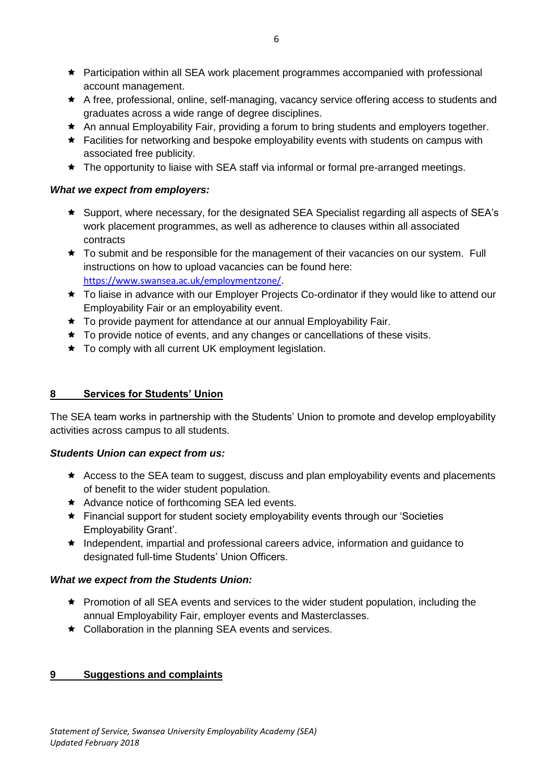- Participation within all SEA work placement programmes accompanied with professional account management.
- A free, professional, online, self-managing, vacancy service offering access to students and graduates across a wide range of degree disciplines.
- An annual Employability Fair, providing a forum to bring students and employers together.
- ★ Facilities for networking and bespoke employability events with students on campus with associated free publicity.
- ★ The opportunity to liaise with SEA staff via informal or formal pre-arranged meetings.

## *What we expect from employers:*

- Support, where necessary, for the designated SEA Specialist regarding all aspects of SEA's work placement programmes, as well as adherence to clauses within all associated contracts
- \* To submit and be responsible for the management of their vacancies on our system. Full instructions on how to upload vacancies can be found here: <https://www.swansea.ac.uk/employmentzone/>.
- ★ To liaise in advance with our Employer Projects Co-ordinator if they would like to attend our Employability Fair or an employability event.
- ★ To provide payment for attendance at our annual Employability Fair.
- $\star$  To provide notice of events, and any changes or cancellations of these visits.
- ★ To comply with all current UK employment legislation.

# **8 Services for Students' Union**

The SEA team works in partnership with the Students' Union to promote and develop employability activities across campus to all students.

# *Students Union can expect from us:*

- Access to the SEA team to suggest, discuss and plan employability events and placements of benefit to the wider student population.
- Advance notice of forthcoming SEA led events.
- Financial support for student society employability events through our 'Societies Employability Grant'.
- $\star$  Independent, impartial and professional careers advice, information and guidance to designated full-time Students' Union Officers.

# *What we expect from the Students Union:*

- ★ Promotion of all SEA events and services to the wider student population, including the annual Employability Fair, employer events and Masterclasses.
- ★ Collaboration in the planning SEA events and services.

# **9 Suggestions and complaints**